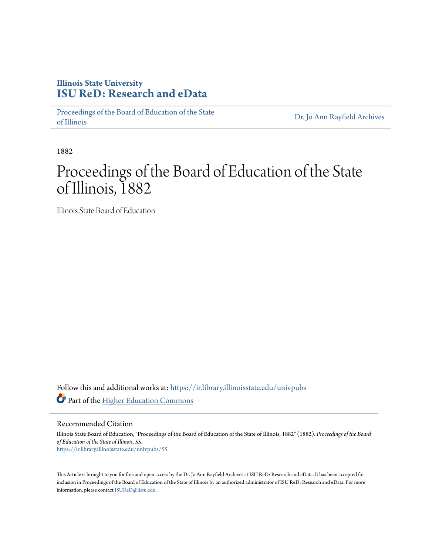### **Illinois State University [ISU ReD: Research and eData](https://ir.library.illinoisstate.edu?utm_source=ir.library.illinoisstate.edu%2Funivpubs%2F55&utm_medium=PDF&utm_campaign=PDFCoverPages)**

[Proceedings of the Board of Education of the State](https://ir.library.illinoisstate.edu/univpubs?utm_source=ir.library.illinoisstate.edu%2Funivpubs%2F55&utm_medium=PDF&utm_campaign=PDFCoverPages) [of Illinois](https://ir.library.illinoisstate.edu/univpubs?utm_source=ir.library.illinoisstate.edu%2Funivpubs%2F55&utm_medium=PDF&utm_campaign=PDFCoverPages)

[Dr. Jo Ann Rayfield Archives](https://ir.library.illinoisstate.edu/arch?utm_source=ir.library.illinoisstate.edu%2Funivpubs%2F55&utm_medium=PDF&utm_campaign=PDFCoverPages)

1882

# Proceedings of the Board of Education of the State of Illinois, 1882

Illinois State Board of Education

Follow this and additional works at: [https://ir.library.illinoisstate.edu/univpubs](https://ir.library.illinoisstate.edu/univpubs?utm_source=ir.library.illinoisstate.edu%2Funivpubs%2F55&utm_medium=PDF&utm_campaign=PDFCoverPages) Part of the [Higher Education Commons](http://network.bepress.com/hgg/discipline/1245?utm_source=ir.library.illinoisstate.edu%2Funivpubs%2F55&utm_medium=PDF&utm_campaign=PDFCoverPages)

Recommended Citation

Illinois State Board of Education, "Proceedings of the Board of Education of the State of Illinois, 1882" (1882). *Proceedings of the Board of Education of the State of Illinois*. 55. [https://ir.library.illinoisstate.edu/univpubs/55](https://ir.library.illinoisstate.edu/univpubs/55?utm_source=ir.library.illinoisstate.edu%2Funivpubs%2F55&utm_medium=PDF&utm_campaign=PDFCoverPages)

This Article is brought to you for free and open access by the Dr. Jo Ann Rayfield Archives at ISU ReD: Research and eData. It has been accepted for inclusion in Proceedings of the Board of Education of the State of Illinois by an authorized administrator of ISU ReD: Research and eData. For more information, please contact [ISUReD@ilstu.edu.](mailto:ISUReD@ilstu.edu)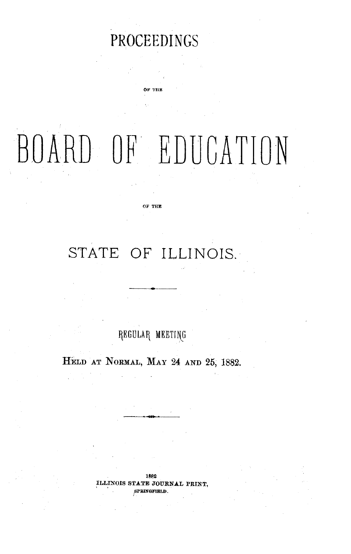## PROCEEDINGS

c **w?** n i»

# BOARD OF EDUCATION

**OF TE**

### STATE OF ILLINOIS.

REGULAR MEETING

HELD AT NORMAL, MAY 24 **AND** 25, 1882.

1882 **ILLINOIS STATE JOURNAL PRINT, SPRINGFIELD.**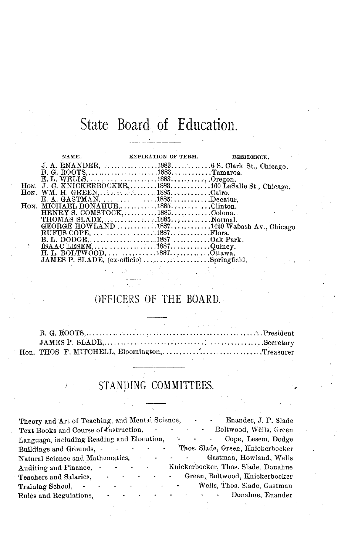# State Board of Education.

|                                                                             | NAME, EXPIRATION OF TERM. RESIDENCE. |                                             |
|-----------------------------------------------------------------------------|--------------------------------------|---------------------------------------------|
|                                                                             |                                      |                                             |
| B. G. ROOTS,         1883. Tamaroa.                                         |                                      |                                             |
|                                                                             |                                      |                                             |
| Hon. J. C. KNICKERBOCKER, 1883160 LaSalle St., Chicago.                     |                                      |                                             |
|                                                                             |                                      |                                             |
| E. A. GASTMAN, $\dots \dots \dots \dots 1885 \dots \dots \dots \dots \dots$ |                                      |                                             |
| HON. MICHAEL DONAHUE1885Clinton.                                            |                                      |                                             |
| HENRY S. COMSTOCK, 1885Colona.                                              |                                      |                                             |
|                                                                             |                                      |                                             |
|                                                                             |                                      | GEORGE HOWLAND 18871420 Wabash Av., Chicago |
|                                                                             |                                      |                                             |
|                                                                             |                                      |                                             |
|                                                                             |                                      |                                             |
|                                                                             |                                      |                                             |
| JAMES P. SLADE, (ex-officio) Springfield.                                   |                                      |                                             |

### OFFICERS OF THE BOARD.

| Hon. THOS F. MITCHELL, Bloomington, Treasurer |  |  |  |
|-----------------------------------------------|--|--|--|

# / STANDING COMMITTEES.

| Theory and Art of Teaching, and Mental Science,  | Enander, J. P. Slade<br>$\sim$<br>٠                                                       |
|--------------------------------------------------|-------------------------------------------------------------------------------------------|
| Text Books and Course of Instruction,            | Boltwood, Wells, Green                                                                    |
| Language, including Reading and Elocution,       | Cope, Lesem, Dodge                                                                        |
| Buildings and Grounds, -                         | Thos. Slade, Green, Knickerbocker                                                         |
| Natural Science and Mathematics,                 | Gastman, Howland, Wells                                                                   |
| $\sim 100$ km $^{-1}$<br>Auditing and Finance, - | Knickerbocker, Thos. Slade, Donahue                                                       |
| Teachers and Salaries,<br>$\blacksquare$<br>٠    | Green, Boltwood, Knickerbocker<br><b>All Control</b>                                      |
| Training School,                                 | Wells, Thos. Slade, Gastman<br>$\omega_{\rm{max}}=0.00000$ and $\omega_{\rm{max}}=0.0000$ |
| Rules and Regulations,                           | $\Delta_{\rm{max}}$ and $\Delta_{\rm{max}}$ and $\Delta_{\rm{max}}$<br>- Donahue, Enander |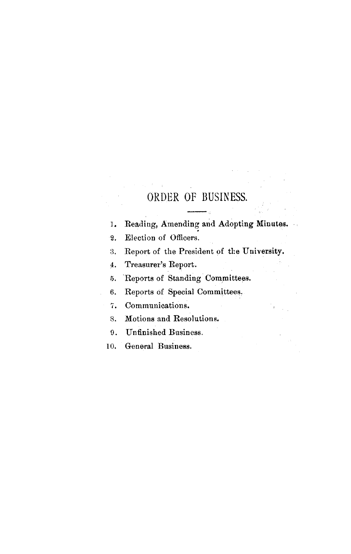### ORDER OF BUSINESS.

- 1. Reading, Amending and Adopting Minutes.
- 2. Election of Officers.
- 3. Report of the President of the University.
- 4. Treasurer's Report.
- 5. Reports of Standing Committees.
- 6. Reports of Special Committees.
- 7. Communications.
- 8. Motions and Resolutions.
- 9. Unfinished Business.
- 10. General Business.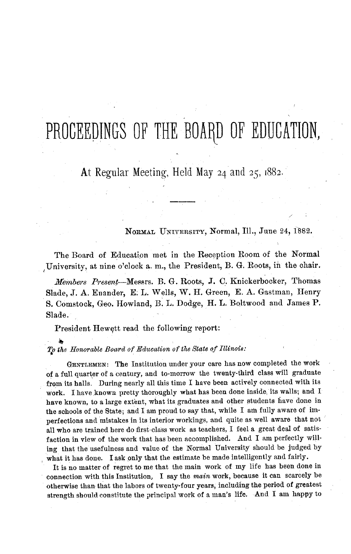# PROCEEDINGS OF THE BOARD OF EDUCATION,

At Regular Meeting, Held May 24 and 25, 1882.

NORMAL UNIVERSITY, Normal, Ill., June 24, 1882.

The Board of Education met in the Reception Room of the Normal University, at nine o'clock a. m., the President, B. G. Roots, in the chair.

*Miembers Present--Messrs.* B. G. Roots, J. C. Knickerbocker, Thomas Slade, J. A. Enander, E. L. Wells, W. H. Green, E. A. Gastman, Henry S. Comstock, Geo. Howland, B. L. Dodge, H. L. Boltwood and James P. Slade.

President Hewett read the following report:

*To the Honorable Board of Education of the State of Illinois:*

GENTLEMEN: The Institution under your care has now completed the work of a full quarter of a century, and to-morrow the twenty-third class will graduate from its halls. During nearly all this time I have been actively connected with its work. I have known pretty thoroughly what has been done inside, its walls; and I have known, to a large extent, what its graduates and other students have done in the schools of the State; and I am proud to say that, while I am fully aware of imperfections and mistakes in its interior workings, and quite as well aware that not all who are trained here do first-class work as teachers, I feel a great deal of satisfaction in view of the work that has been accomplished. And I am perfectly willing that the usefulness and value of the Normal University should be judged by what it has done. I ask only that the estimate be made intelligently and fairly.

It is no matter of regret to me that the main work of my life has been done in connection with this Institution, I say the *main* work, because it can scarcely be otherwise than that the labors of twenty-four years, including the period of greatest strength should constitute the principal work of a man's life. And I am happy to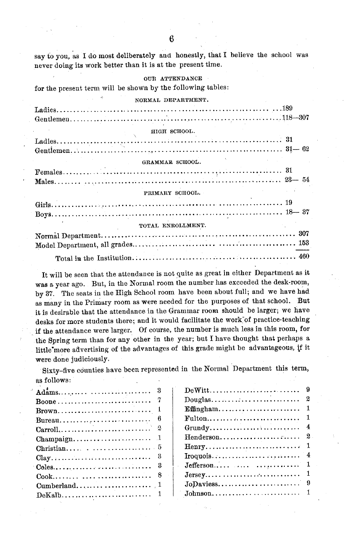say to you, as I do most deliberately and honestly, that I believe the school was never doing its work better than it is at the present time.

#### OUR ATTENDANCE

for the present term will be shown by the following tables:

| NORMAL DEPARTMENT. |  |
|--------------------|--|
|                    |  |
|                    |  |
| HIGH SCHOOL.       |  |
|                    |  |
|                    |  |
| GRAMMAR SCHOOL.    |  |
|                    |  |
|                    |  |
| PRIMARY SCHOOL.    |  |
|                    |  |
|                    |  |
| TOTAL ENROLLMENT.  |  |
|                    |  |
|                    |  |
|                    |  |

It will be seen that the attendance is not quite as great in either Department as it was a year ago. But, in the Normal room the number has exceeded the desk-room, by 37. The seats in the High School room have been about full; and we have had as many in the Primary room as were needed for the purposes of that school. But it is desirable that the attendance in the Grammar room should be larger; we have desks for more students there; and it would facilitate the work'of practice-teaching if the attendance were larger. Of course, the number is much less in this room, for the Spring term than for any other in the year; but I have thought that perhaps a little'more advertising of the advantages of this grade might be advantageous, if it were done judiciously.

Sixty-five counties have been represented in the Normal Department this term, as follows:

| $\textbf{Boone}\dots\dots\dots\dots\dots\dots\dots\dots\dots\dots$ |                                                                  |
|--------------------------------------------------------------------|------------------------------------------------------------------|
|                                                                    |                                                                  |
|                                                                    |                                                                  |
|                                                                    |                                                                  |
|                                                                    |                                                                  |
|                                                                    |                                                                  |
|                                                                    |                                                                  |
|                                                                    | $Jefferson \ldots \ldots \ldots \ldots \ldots \ldots 1$          |
|                                                                    | $Jersey \ldots \ldots \ldots \ldots \ldots \ldots \ldots \ldots$ |
|                                                                    |                                                                  |
|                                                                    | $Johnson \ldots \ldots \ldots \ldots \ldots \ldots \ldots 1$     |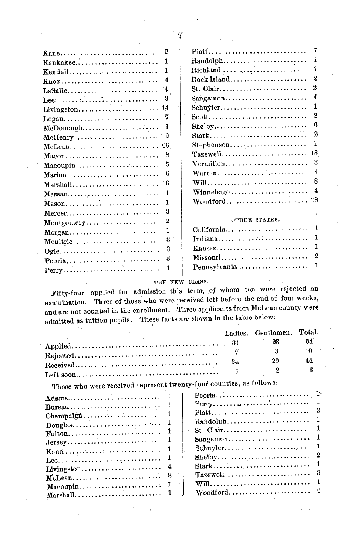|                                                      | 2            |                                                            | 7                |
|------------------------------------------------------|--------------|------------------------------------------------------------|------------------|
| Kankakee                                             | 1.           |                                                            | 1                |
| Kendall                                              | 1            | $\text{Richard}\dots\dots\dots\dots\dots\dots\dots\dots$   | 1                |
| Knox                                                 | 4            | Rock Island                                                | $\boldsymbol{2}$ |
| $LaSalle \ldots \ldots \ldots \ldots \ldots$         | 4            | St. Clair                                                  | 2                |
|                                                      | 3            | Sangamon                                                   | 4                |
|                                                      |              | Schuyler                                                   | 1                |
|                                                      | 7            |                                                            | $\boldsymbol{2}$ |
| McDonough                                            | 1            |                                                            | 6                |
| McHenry                                              | 2            | Stark                                                      | $\boldsymbol{2}$ |
| McLean                                               | -66          | Stephenson                                                 | 1                |
|                                                      | 8            | Tazewell                                                   | 13               |
|                                                      | 5            | Vermilion                                                  | 3                |
| Marion.                                              | 6            | Warren                                                     | 1                |
| Marshall                                             | 6            |                                                            | 8                |
| $Massac.\dots.\dots.\dots.\dots\dots\dots\dots\dots$ | $\mathbf{1}$ | Winnebago                                                  | 4                |
| Mason                                                | 1            | $Woodford \dots \dots \dots \dots \dots \dots \dots \dots$ | 18               |
| Mercer                                               | 3            |                                                            |                  |
| Montgomery                                           | 2            | OTHER STATES.                                              |                  |
| Morgan                                               | 1            | California                                                 |                  |
| Moultrie                                             | 3            | Indiana                                                    | 1                |
|                                                      | 3            | Kansas                                                     | 1                |
| Peoria                                               | 3            | Missouri                                                   | $\boldsymbol{2}$ |
|                                                      | 1            | Pennsylvania                                               | 1                |
|                                                      |              |                                                            |                  |

#### **THE** NEW CLASS.

Fifty-four applied for admission this term, of whom ten were rejected on examination. Three of those who were received left before the end of four weeks, and are not counted in the enrollment. Three applicants from McLean county were admitted as tuition pupils. These facts are shown in the table below:

|                                                                                                   |    | Ladies. Gentlemen. Total. |    |
|---------------------------------------------------------------------------------------------------|----|---------------------------|----|
|                                                                                                   |    | $\sim$ 23                 | 54 |
|                                                                                                   |    |                           | 10 |
| $\textbf{Received} \dots \dots \dots \dots \dots \dots \dots \dots \dots \dots \dots \dots \dots$ | 24 |                           |    |
|                                                                                                   |    |                           |    |
|                                                                                                   |    |                           |    |

Those who were received represent twenty-four counties, as follows:

| Bureau |                                                                                  |  |
|--------|----------------------------------------------------------------------------------|--|
|        |                                                                                  |  |
|        |                                                                                  |  |
|        |                                                                                  |  |
|        |                                                                                  |  |
|        |                                                                                  |  |
|        |                                                                                  |  |
|        | $\text{Stark}, \ldots \ldots \ldots \ldots \ldots \ldots \ldots \ldots \ldots 1$ |  |
|        |                                                                                  |  |
|        |                                                                                  |  |
|        |                                                                                  |  |
|        |                                                                                  |  |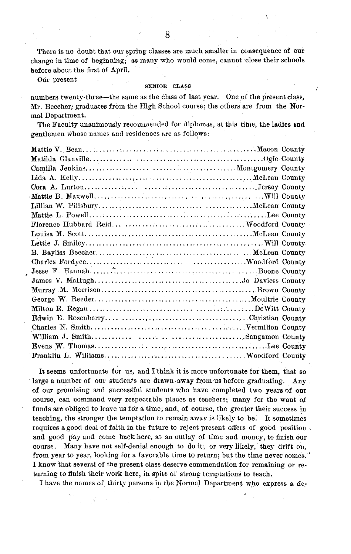There is no doubt that our spring classes are much smaller in consequence of our change in time of beginning; as many who would come, cannot close their schools before about the first of April.

Our present SENIOR CLASS

numbers twenty-three-the same as the class of last year. One of the present class, Mr. Beecher; graduates from the High School course; the others are from the Normal Department.

The Faculty unanimously recommended for diplomas, at this time, the ladies and gentlemen whose names and residences are as follows:

It seems unfortunate for us, and I think it is more unfortunate for them, that so large a number of our students are drawn away from us before graduating. Any of our promising and successful students who have completed two years of our course, can command very respectable places as teachers; many for the want of funds are obliged to leave us for a time; and, of course, the greater their success in teaching, the stronger the temptation to remain away is likely to be. It sometimes requires a good deal of faith in the future to reject present offers of good position and good pay and come back here, at an outlay of time and money, to finish our course. Many have not self-denial enough to do it; or very likely, they drift on, from year to year, looking for a favorable time to return; but the time never comes. I know that several of the present class deserve commendation for remaining or returning to finish their work here, in spite of strong temptations to teach.

I have the names of thirty persons in the Normal Department who express a de-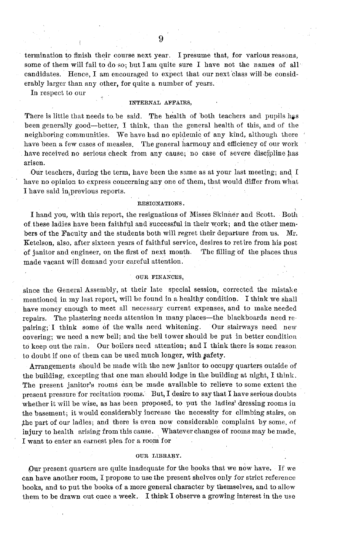termination to finish their course next year. I presume that, for various reasons, some of them will fail to do so; but I am quite sure I have not the names of all candidates. Hence, I am encouraged to expect that our next class will be considerably larger than any other, for quite a number of years.

In respect to our

#### INTERNAL AFFAIRS,

There is little that needs to be said. The health of both teachers and pupils has been generally good-better, I think, than the general health of this, and of the neighboring communities. We have had no epidemic of any kind, although there have been a few cases of measles. The general harmony and efficiency of our work have received no serious check from any cause; no case of severe discipline has arisen.

Our teachers, during the term, have been the same as at your last meeting; and I have no opinion to express concerning any one of them, that would differ from what I have said in previous reports.

#### RESIGNATIONS.

I hand you, with this report, the resignations of Misses Skinner and Scott. Both of. these ladies have been faithful and successful in their work; and the other members of the Faculty and the students both will regret their departure from us. Mr. Ketelson, also, after sixteen years of faithful service, desires to ret ire from his post of janitor and engineer, on the first of next month. The filling of the places thus made vacant will demand your careful attention.

#### OUR FINANCES,

since the General Assembly, at their late special session, corrected the mistake mentioned in my last report, will be found in a healthy condition. I think we shall have money enough to meet all necessary current expenses, and to make needed repairs. The plastering needs attention in many places-the blackboards need repairing; I think some of the walls need whitening. Our stairways need new covering; we need a new bell; and the bell tower should be put in better condition to keep out the rain. Our boilers need attention; and I think there is some reason to doubt if one of them can be used much longer, with safety.

Arrangements should be made with the new janitor to occupy quarters outside of the building, excepting that one man should lodge in the building at night, I think. The present janitor's roums can be made available to relieve to some extent the present pressure for recitation rooms. But, I desire to say that I have serious doubts whether it will be wise, as has been proposed, to put the ladies' dressing rooms in the basement; it would considerably increase the necessity for climbing stairs, on the part of our ladies; and there is even now considerable complaint by some, of injury to health arising from this cause. Whatever changes of rooms may be made, I want to enter an earnest plea for a room for

#### **OUR** LIBRARY.

Our present quarters are quite inadequate for the books that we now have. If we can have another room, I propose to use the present shelves only for strict reference books, and to put the books of a more general character by themselves, and to allow them to be drawn out once a week. I think I observe a growing interest in the use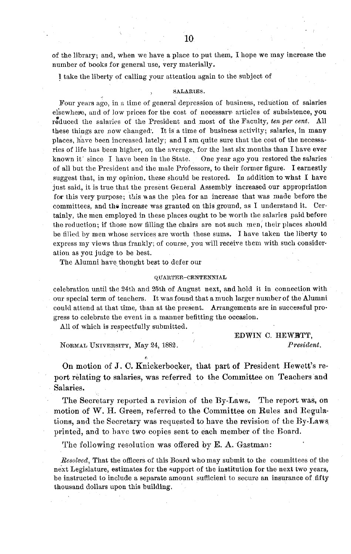of the library; and, when we have a place to put them, I hope we may increase the number of books for general use, very materially.

1 take the liberty of calling your attention again to the subject of

#### SALARIES.

Four years ago, in a time of general depression of business, reduction of salaries elsewheige, and of low prices for the cost of necessary articles of subsistence, you reduced the salaries of the President and most of the Faculty, *ten per cent.* All these things are now changed'. It is a time of business activity; salaries, in many places, have been increased lately; and I am quite sure that the cost of the necessaries of life has been higher, on the average, for the last six months than I have ever known it' since I have been in the State. One year ago you restored the salaries of all but the President and the male Professors, to their former figure. I earnestly suggest that, in my opinion, these should be restored. In addition to what I have just said, it is true that the present General Assembly increased our appropriation for this very purpose; this was the plea for an increase that was made before the committees, and the increase was granted on this ground, as I understand it. Certainly, the men employed in these places ought to be worth the salaries paid before the reduction; if those now filling the chairs are not such men, their places should be filled by men whose services are worth these sums. I have taken the liberty to express my views thus frankly; of course, you will receive them with such consideration as you judge to be best.

The Alumni have thought best to defer our

#### QUARTER-CENTENNIAL

celebration until the 24th and 25th of August next, and hold it in connection with our special term of teachers. It was found that a much larger number of the Alumni could attend at that time, than at the present. Arrangements are in successful progress to celebrate the event in a manner befitting the occasion.

All of which is respectfully submitted.

NORMAL UNIVERSITY, May 24, 1882. *President.*

EDWIN C. HEWBTT,

On motion of J. C. Knickerboqker, that part of President Hewett's report relating to salaries, was referred to the Committee on Teachers and Salaries.

The Secretary reported a revision of the By-Laws. The report was, on motion of W. H. Green, referred to the Committee on Rules and Regulations, and the Secretary was requested to have the revision of the By-Laws printed, and to have two copies sent to each member of the Board.

The following resolution was offered by E. A. Gastman:

*Resolved,* That the officers of this Board who may submit to the committees of the next Legislature, estimates for the support of the institution for the next two years, be instructed to include a separate amount sufficient to secure an insurance of fifty thousand dollars upon this building.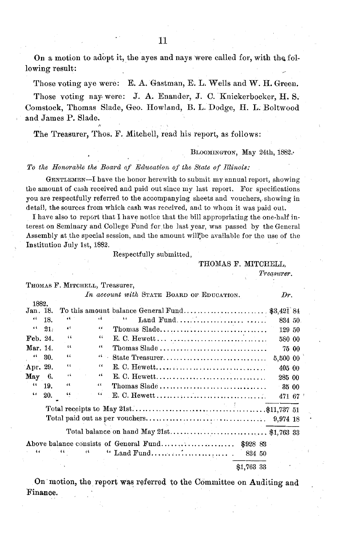On a motion to adopt it, the ayes and nays were called for, with the following result:

Those voting aye were: E. A. Gastman, E. L. Wells and W. H. Green.

Those voting nay were: J. A. Enander, J. C. Knickerbocker, H. S. Comstock, Thomas Slade, Geo. Howland, B. L. Dodge, H. L. Boltwood and James P. Slade.

The Treasurer, Thos. F. Mitchell, read his report, as follows:

BLOOMINGTON, May 24th, 1882.

#### *To the Honorable the Board of Education of the State of Illinois:*

GENTLEMEN-I have the honor herewith to submit my annual report, showing the amount of cash received and paid out since my last report. For specifications you are respectfully referred to the accompanying sheets and vouchers, showing in detail, the sources from which cash was received, and to whom it was paid out.

I have also to report that I have notice that the bill appropriating the one-half interest on Seminary and College Fund for,the last year, was passed by the General Assembly at the special session, and the amount will be available for the use of the Institution July 1st, 1882.

Respectfully submitted,

#### THOMAS F. MITCHELL,

*Treasurer.*

|                   |     |              | THOMAS F. MITCHELL, Treasurer, |                                                                             |          |       |
|-------------------|-----|--------------|--------------------------------|-----------------------------------------------------------------------------|----------|-------|
|                   |     |              |                                | In account with STATE BOARD OF EDUCATION.                                   | Dr.      |       |
| 1882.<br>Jan. 18. |     |              |                                |                                                                             |          |       |
| $\epsilon$        | 18. | 44           | ò.                             | Land Fund<br>$\iota$                                                        | 834 50   |       |
| $\epsilon$        | 21. | $\epsilon$   | 66                             | Thomas Slade                                                                | 129 50   |       |
| Feb. 24.          |     | 66           | 44                             |                                                                             | 580 00   |       |
| Mar. 14.          |     | 66           | $\epsilon$                     | Thomas Slade $\dots\dots\dots\dots\dots\dots\dots\dots\dots\dots\dots\dots$ |          | 75 00 |
| 66                | 30. | $\mathbf{C}$ | 44.1                           | State Treasurer                                                             | 5,500 00 |       |
| Apr. 29.          |     | 66           | $\epsilon$                     |                                                                             | 405 00   |       |
| May               | 6.  | 66           | 46                             |                                                                             | 285 00   |       |
| 66                | 19. | $\epsilon$   | $\sim$                         | Thomas Slade                                                                |          | 35 00 |
| 6 <sub>5</sub>    | 20. | 44           | $\epsilon$                     |                                                                             | 471 67   |       |
|                   |     |              |                                |                                                                             |          |       |
|                   |     |              |                                |                                                                             |          |       |
| ŧι                |     |              | $\epsilon$                     | 834 50                                                                      |          |       |
|                   |     |              |                                | \$1,763 33                                                                  |          |       |

On motion, the report was referred to the Committee on Auditing and Finance.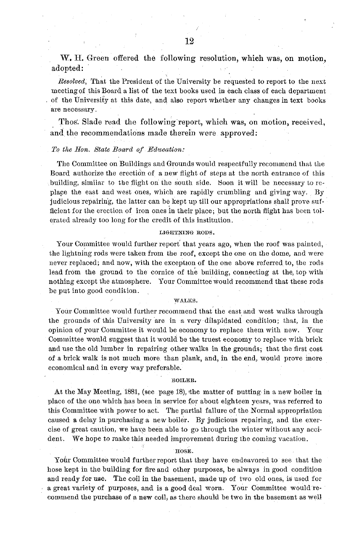W. H. Green offered the following resolution, which was, on motion, adopted:

*Resolved,* That the President of the University be requested to report to the next meeting of this Board a list of the text books used in each class of each department of the University at this date, and also report whether any changes in text books are necessary.

Thos. Slade read the following report, which was, on motion, received, and the recommendations made therein were approved:

#### *To the Hon. State Board of Education:*

The Committee on Buildings and Grounds would respectfully recommend that the Board authorize the erection of a new flight of steps at the north entrance of this building, similar to the flight on the south side. Soon it will be necessary to replace the east and west ones, which are rapidly crumbling and giving way. By judicious repairing, the latter can be kept up till our appropriations shall prove sufficient for the erection of iron ones in their place; but the north flight has been tolerated already too long for the credit of this institution.

#### LIGHTNING RODS.

Your Committee would further report that years ago, when the roof was painted, the lightning rods were taken from the roof, except the one on the dome, and were never replaced; and now, with the exception of the one above referred to, the rods lead from the ground to the cornice of the building, connecting at the, top with nothing except the atmosphere. Your Committee would recommend that these rods be put into good condition.

#### WALKS.

Your Committee would further recommend that the east and west walks through the grounds of this University are in a very dilapidated condition; that, in the opinion of your Committee it would be economy to replace them with new. Your Committee would suggest that it would be the truest economy to replace with brick and use the old lumber in repairing other walks in the grounds; that the first cost of a brick walk is not much more than plank, and, in the end, would prove more economical and in every way preferable.

#### **BOILER.**

At the May Meeting, 1881, (see page 18), the matter of putting in a new boiler in place of the one.which has been in service for about eighteen years, was referred to this Committee with power to act. The partial failure of the Normal appropriation caused a delay in purchasing a new boiler. By judicious repairing, and the exercise of great caution, we have been able to go through the winter without any accident. We hope to make this needed improvement during the coming vacation.

HOSE.

Your Committee would further report that they have endeavored to see that the hose kept in the building for fire and other purposes, be always in good condition and ready for use. The coil in the basement, made up of two old ones, is used for a great variety of purposes, and is a good deal worn. Your Committee would recommend the purchase of a new coil, as there should be two in the basement as well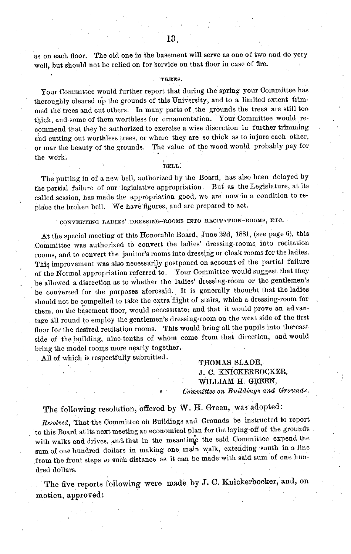as on each floor. The old one in the basement will serve as one of two and do very well, but should not be relied on for service on that floor in case of fire.

#### TREES.

Your Committee would further report that during the spring your Committee has thoroughly cleared up the grounds of this University, and to a limited extent trimmed the trees and cut others. In many parts of the grounds the trees are still too thick, and some of them worthless for ornamentation. Your Committee would recommend that they be authorized to exercise a wise discretion in further trimming and cutting out worthless trees, or where they are so thick as to injure each other, or mar the beauty of the grounds. The value of the wood would probably pay for the work.

BELL.

The putting in of a new bell, authorized by the Board, has also been delayed by the partial failure of our legislative appropriation. But as the Legislature, at its called session, has made the appropriation good, we are now in a condition to replace the broken bell. We have figures, and are prepared to act.

#### **CONVERTING LADIES'** DRESSING-ROOMS INTO RECITATION-ROOMS, ETC.

At the special meeting of this Honorable Board, June 22d, 1881, (see page 6), this Committee was authorized to convert the ladies' dressing-rooms into recitation rooms, and to convert the janitor's rooms into dressing or cloak rooms for the ladies. This improvement was also necessarily postponed on account of the partial failure of the Normal appropriation referred to. Your Committee would suggest that they be allowed a discretion as to whether the ladies' dressing-room or the gentlemen's be converted for the purposes aforesaid. It is generally thought that the ladies should not be compelled to take the extra flight of stairs, which a dressing-room for them, on the basement floor, would necessitate; and that it would prove an advantage all round to employ the gentlemen's dressing-room on the west side of the first floor for the desired recitation rooms. This would bring all the pupils into the east side of the building, nine-tenths of whom come from that direction, and would bring the model rooms more nearly together.

All of which is respectfully submitted.

THOMAS SLADE, **J.** C. KNICKERBOCKER, WILLIAM H. GREEN,  $Committee$  on Buildings and Grounds.

### The following resolution, offered by W. H. Green, was adopted:

*Resolved,* That the Committee on Buildings and Grounds be instructed to report to this Board at its next meeting an economical plan for the laying-off of the grounds with walks and drives, and that in the meantime the said Committee expend the sum of one hundred dollars in making one main walk, extending south in a line .from the front steps to such distance as it can be made with said sum of one hundred dollars.

The five reports following were made by J. C. Knickerbocker, and, on motion, approved;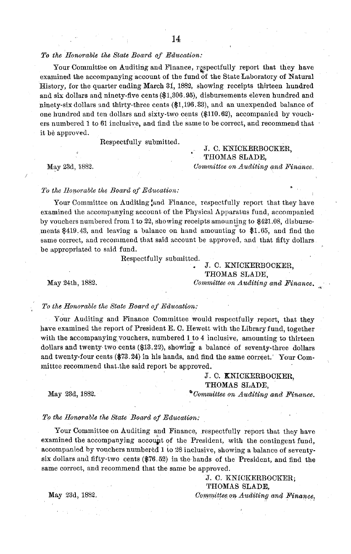#### *To the Honorable the State Board of Education:*

Your Committee on Auditing and Finance, respectfully report that they have examined the accompanying account of the fund of the State Laboratory of Natural History, for the quarter ending March 31, 1882, showing receipts thirteen hundred and six dollars and ninety-five cents (\$1,306.95), disbursements eleven hundred and ninety-six dollars and thirty-three cents (\$1,196.33), and an unexpended balance of one hundred and ten dollars and sixty-two cents (\$110.62), accompanied by vouchers numbered 1 to 61 inclusive, and find the same to be correct, and recommend that it be approved.

Respectfully submitted.

J. C. KNICKERBOCKER, THOMAS SLADE, May 23d, 1882. *Committee on Auditing and Finance.*

#### To the Honorable the Board of Education:

Your Committee on Auditing ,and Finance, respectfully report that they have examined the accompanying account of the Physical Apparatus fund, accompanied by vouchers numbered from 1 to 22, showing receipts amounting to \$421.08, disbursements \$419.43, and leaving a balance on hand amounting to \$1.65, and find the same correct, and recommend that said account be approved, and that fifty dollars be appropriated to said fund.

Respectfully submitted.

### J. C. KNICKERBOCKER, THOMAS SLADE,

May 24th, 1882. *Committee on Auditing and Finance.*

#### *To the Honorable the State Board of Education:*

Your Auditing and Finance Committee would respectfully report, that they have examined the report of President E. C. Hewett with the Library fund, together with the accompanying vouchers, numbered 1 to 4 inclusive, amounting to thirteen dollars and twenty two cents (\$13.22), showing a balance of seventy-three dollars and twenty-four cents (\$73.24) in his hands, and find the same correct.' Your Committee recommend that.the said report be approved.

#### J. C. KNICKERBOCKER, THOMAS SLADE,

May 23d, 1882. **b**Committee on Auditing and Finance.

#### *To the Honorable the State Board of Education:*

Your Committee on Auditing and Finance, respectfully report that they have examined the accompanying account of the President, with the contingent fund, accompanied by vouchers numbered 1 to 28 inclusive, showing a balance of seventysix dollars and fifty-two cents (\$76.52) in the hands of the President, and find the same correct, and recommend that the same be approved.

> J. C. KNICKERBOCKER; THOMAS SLADE,

May 23d, 1882. *Committee, on Auditing and Finance,*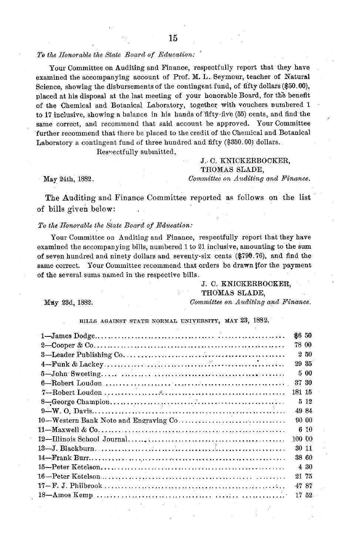#### *To the Honorable the State Board of Education:*

Your Committee on Auditing and Finance, respectfully report that they have examined the accompanying account of Prof. M. L.. Seymour, teacher of Natural Science, showing the disbursements of the contingent fund, of fifty dollars (\$50.00), placed at his disposal at the last meeting of your honorable Board, for the benefit of the Chemical and Botanical Laboratory, together with vouchers numbered 1 to 17 inclusive, showing a balance in his hands of fifty-five (55) cents, and find the same correct, and recommend that said account be approved. Your Committee further recommend that there be placed to the credit of the Chemical and Botanical Laboratory a contingent fund of three hundred and fifty (\$350.00) dollars.

Respectfully submitted,

#### J.. C. KNICKERBOCKER, THOMAS SLADE, May 24th, 1882. *Committee on Auditing and Finance.*

The Auditing and Finance Committee reported as follows on the list of bills given below:

#### *To the Honorable the State Board of Education:*

Your Committee on Auditing and Finance, respectfully report that they have examined the accompanying bills, numbered 1 to 21 inclusive, amounting to the sum of seven hundred and ninety dollars and seventy-six cents (\$790.76), and find the same correct. Your Committee recommend that orders be drawn ifor the payment of the several sums named in the respective bills.

> J. C. KNICKERBOCKER, THOMAS SLADE,

May 23d, 1882. *Committee on Auditing and Finance.*

BILLS AGAINST STATE NORMAL UNIVERSITY, MAY 23, 1882.

|        | \$650  |
|--------|--------|
|        | 78 00  |
|        | 250    |
|        | 29 35  |
|        | 500    |
|        | 37 30  |
| 181 15 |        |
|        | 512    |
|        | 49.84  |
|        | 90 00  |
|        | 6 10   |
|        | 100 00 |
|        | 30 11  |
|        | 38 60  |
|        | 4 30   |
|        | 21 75  |
|        | 47 87  |
|        | 17 52  |
|        |        |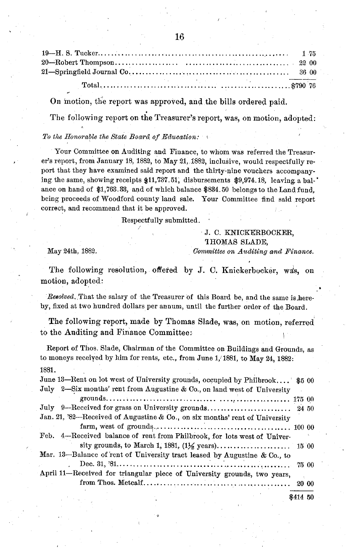On motion, the report was approved, and the bills ordered paid.

The following report on the Treasurer's report, was, on motion, adopted:

#### *To the Honorable the State Board of Education:*

Your Committee on Auditing and Finance, to whom was referred the Treasurer's report, from January 18, 1882, to May 21, 1882, inclusive, would respectfully report that they have examined said report and the thirty-nine vouchers accompanying the same, showing receipts \$11,737.51, disbursements \$9,974.18, leaving a bal-' ance on hand of \$1,763.33, and of which balance \$834.50 belongs to the Land fund, being proceeds of Woodford county land sale. Your Committee find said report correct, and recommend that it be approved.

Respectfully submitted.

#### J. C. KNICKERBOCKER, THOMAS SLADE,

May 24th, 1882. *Committee on Auditing and Finance.*

The following resolution, offered by J. C. Knickerbocker, was, on motion, adopted:

*Resolved,* That the salary of the Treasurer of this Board be, and the same is hereby, fixed at two hundred dollars per annum, until the further order of the Board.

The following report, made by Thomas Slade, was, on motion, referred to the Auditing and Finance Committee:

Report of Thos. Slade, Chairman of the Committee on Buildings and Grounds, as to moneys received by him for rents, etc., from June 1, 1881, to May 24, 1882: 1881.

| June 13-Rent on lot west of University grounds, occupied by Philbrook \$5 00 |          |       |
|------------------------------------------------------------------------------|----------|-------|
| July 2-Six months' rent from Augustine & Co., on land west of University     |          |       |
|                                                                              |          |       |
| July 9-Received for grass on University grounds 24 50                        |          |       |
| Jan. 21, '82-Received of Augustine & Co., on six months' rent of University  |          |       |
|                                                                              |          |       |
| Feb. 4-Received balance of rent from Philbrook, for lots west of Univer-     |          |       |
|                                                                              |          |       |
| Mar. 13-Balance of rent of University tract leased by Augustine & Co., to    |          |       |
|                                                                              |          |       |
| April 11-Received for triangular piece of University grounds, two years,     |          |       |
|                                                                              |          | 20 00 |
|                                                                              | \$414 50 |       |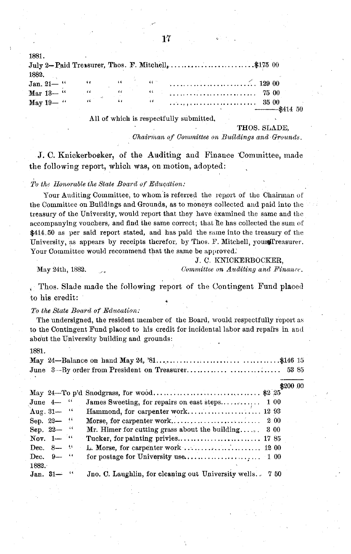| 1881.           |    |                                                                                       |    |                                                                                                                                                                                                                                                                                                                                               |  |
|-----------------|----|---------------------------------------------------------------------------------------|----|-----------------------------------------------------------------------------------------------------------------------------------------------------------------------------------------------------------------------------------------------------------------------------------------------------------------------------------------------|--|
|                 |    |                                                                                       |    | July 2-Paid Treasurer, Thos. F. Mitchell, \$175 00                                                                                                                                                                                                                                                                                            |  |
| 1882.           |    |                                                                                       |    |                                                                                                                                                                                                                                                                                                                                               |  |
| Jan. 21-"       |    |                                                                                       |    | $\alpha$ and $\alpha$ is $\alpha$ is $\alpha$ is $\alpha$ is $\alpha$ is $\alpha$ is $\alpha$ is $\alpha$ is $\alpha$ is $\alpha$ is $\alpha$ is $\alpha$ is $\alpha$ is $\alpha$ is $\alpha$ is $\alpha$ is $\alpha$ is $\alpha$ is $\alpha$ is $\alpha$ is $\alpha$ is $\alpha$ is $\alpha$ is $\alpha$ is $\alpha$ is $\alpha$ is $\alpha$ |  |
| Mar 13-"        | 66 | $\epsilon \epsilon$ . The $\epsilon$                                                  |    |                                                                                                                                                                                                                                                                                                                                               |  |
| May 19- $\cdot$ |    | $\mathcal{L}(\mathbf{r})$ and $\mathcal{L}(\mathbf{r})$ and $\mathcal{L}(\mathbf{r})$ | 66 |                                                                                                                                                                                                                                                                                                                                               |  |
|                 |    |                                                                                       |    |                                                                                                                                                                                                                                                                                                                                               |  |

All of which is respectfully submitted,

THOS. SLADE,

*Chairman of Committee on Buildings and Grounds.* 

J. C. Knickerboeker, of the Auditing and Finance 'Committee, made the following report, which was, on motion, adopted:

#### *To the IHonorable the State Board of Education:*

Your Auditing Committee, to whom is referred the report of the Chairman of the Committee on Buildings and Grounds, as to moneys collected and paid into thc treasury of the University, would report that they have examined the same and the accompanying vouchers, and find the same correct; that he has collected the sum of \$414.50 as per said report stated, and has paid the same into the treasury of the University, as appears by receipts therefor, by Thos. F. Mitchell, youndTreasurer. Your Committee would recommend that the same be approved.

1881.

Thos. Slade made the following report of the Contingent Fund placed to his credit:

*To the State Board of Education:*

The undersigned, the resident member of the Board, would respectfully report as to the Contingent Fund placed to his credit for incidental labor and repairs in and abo'ut the University building and grounds:

May 24-Balance on hand May 24, '81 .................................... \$146 15 June 3--By order from President on Treasurer ............. 53 85 \$200 00 May 24-To p'd Snodgrass, for wood.............................. \$2 25 James Sweeting, for repairs on east steps................ 1 00 Aug. 31- " Hammond, for carpenter work................ ... 12 93 Sep. 22- " Morse, for carpenter work........................... 2 00 Mr. Himer for cutting grass about the building..... Nov. 1-  $"$  Tucker, for painting privies.............................. 17 85 Dec. 8-  $\cdot\cdot$  L. Morse, for carpenter work ............................. 1200 Dec. 9- " for postage for University use.................... 1 00 1882. Jan. 31- " Jno. C. Laughlin, for cleaning out University wells. 7 50

J. **C.** KNICKERBOCKER, May 24th, 1882. *Committee on Auditing and Finance.*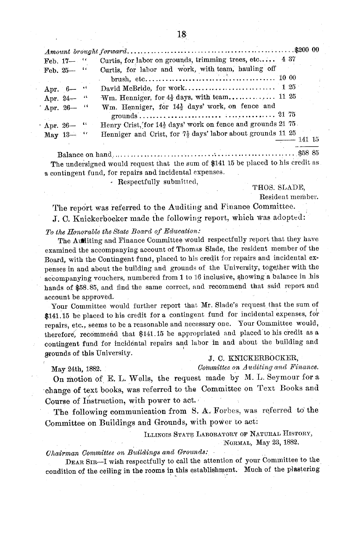| Feb. $17 -$ | Curtis, for labor on grounds, trimming trees, etc 4 37                                                         |  |
|-------------|----------------------------------------------------------------------------------------------------------------|--|
| Feb. $25 -$ | Curtis, for labor and work, with team, hauling off                                                             |  |
|             |                                                                                                                |  |
| Apr. 6- "   |                                                                                                                |  |
| Apr. 24- "  | Wm. Henniger, for $4\frac{1}{2}$ days, with team 11 25                                                         |  |
| Apr. 26-4   | Wm. Henniger, for 14 <sup>1</sup> / <sub>2</sub> days' work, on fence and                                      |  |
|             |                                                                                                                |  |
| Apr. 26- "  | Henry Crist, for 14 <sup>1</sup> days' work on fence and grounds 21 75.                                        |  |
| May $13-$   | Henniger and Crist, for $7\frac{1}{2}$ days' labor about grounds 11 25                                         |  |
|             | $-$ 141 15                                                                                                     |  |
|             | 10 Andreas Andreas Andreas Andreas Andreas Andreas Andreas Andreas Andreas Andreas Andreas Andreas Andreas And |  |

The undersigned would request that the sum of \$141 15 be placed to his credit as a contingent fund, for repairs and incidental expenses.

Respectfully submitted, THOS. SLADE,

Resident member.

The report was referred to the Auditing and Finance Committee. J. C. Knickerbocker made the following report, which was adopted:

*To the Honorable the State Board of Education:*

The Autliting and Finance Committee would respectfully report that they have examined the accompanying account of Thomas Slade, the resident member of the Board, with the Contingent fund, placed to his credit for repairs and incidental expenses in and about the building and grounds of the University, togefther with the accompanying vouchers, numbered from 1 to 16 inclusive, showing a balance in his hands of \$58.85, and find the same correct, and recommend that said report and account be approved.

Your Committee would further report that Mr. Slade's request that the sum of \$141.15 be placed to his credit for a contingent fund for incidental expenses, for repairs, etc., seems to be a reasonable and necessary one. Your Committee would, therefore', recommend that \$141.15 be appropriated and placed to his credit as a contingent fund for incidental repairs and labor in and about the building and grounds of this University.<br>
J. C. KNICKERBOCKER,

May 24th, 1882. *Committee on Auditing and Finance.*

On motion of E. L. Wells, the request made by M. L. Seymour for a change of text books, was referred to the Committee on Text Books and Course of Instruction, with power to act.

The following communication from S. A. Forbes, was referred to the Committee on Buildings and Grounds, with power to act:

ILLINOIS STATE LABORATORY OF NATURAL HISTORY,

NORMAL, May 23, 1882.

*Chairman Committee on Buildings and Grounds:*

DEAR SIR-I wish respectfully to call the attention of your Committee to the condition of the ceiling in the rooms in this establishment. Much of the plastering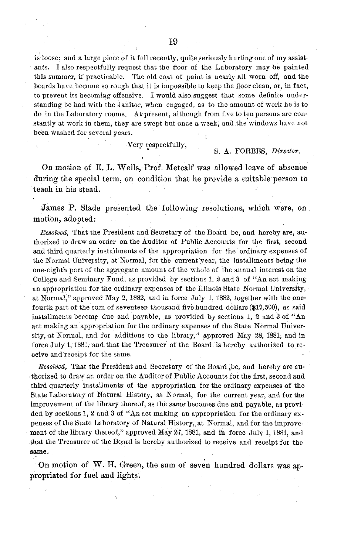is loose; and a large piece of it fell recently, quite seriously hurting one of my assistants. I also respectfully request that the froor of the Laboratory may be painted this summer, if practicable. The old coat of paint is nearly all worn off, and the boards have become so rough that it is impossible to keep the floor clean, or, in fact, to prevent its becoming offensive. I would also suggest that some definite understanding be had with the Janitor, when engaged, as to the amount of work he is to do in the Laboratory rooms. At present, although from five to ten persons are constantly at work in them, they are swept but once a week, and the windows have not been washed for several years.

Very respectfully,

#### S. A. FORBES, *Director.*

On motion of E. L. Wells, Prof. Metcalf was allowed leave of absence during the special term, on condition that he provide a suitable person to teach in his stead.

James P. Slade presented the following resolutions, which were, on motion, adopted:

*Resolved,* That the President and Secretary of the Board be, and hereby are, authorized to draw an order on the Auditor of Public Accounts for the first, second and third quarterly installments of the appropriation for the ordinary expenses of the Normal University, at Normal, for the current'year, the installments being the one-eighth part of the aggregate amount of the whole of the annual interest on the College and Seminary Fund, as provided by sections 1. 2 and 3 of "An act making an appropriation for the ordinary expenses of the Illinois State Normal University, at Normal," approved May 2, 1882, and in force July 1, 1882, together with the onefourth part of the sum of seventeen thousand five hundred dollars (\$17,500), as said installments becomp due and payable, as provided by sections 1, 2 and 3 of "An act making an appropriation for the ordinary expenses of the State Normal University, at Normal, and for additions to the library," approved May 28, 1881, and in force July 1, 1881, and that the Treasurer of the Board is hereby authorized to receive and receipt for the same.

*Resolved,* That the President and Secretary of the Board ,be, and hereby are authorized to draw an order on the Auditor of Public Accounts for the first, second and third quarterly installments of the appropriation for the ordinary expenses of the State Laboratory of Natural History, at Normal, for the current year, and for the improvement of the library thereof, as the same becomes due and payable, as provided by sections 1,'2 and 3 of "An act making an appropriation for the ordinary expenses of the State Laboratory of Natural History, at Normal, and for the improvement of the library thereof," approved May 27, 1881, and in force July 1, 1881, and .that the Treasurer of the Board is hereby authorized to receive and receipt for the **same.**

On motion of W. H. Green, the sum of seven hundred dollars was appropriated for fuel and lights.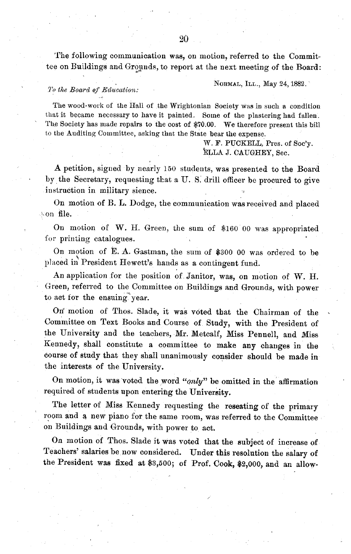The following communication was, on motion, referred to the Committee on Buildings and Grounds, to report at the next meeting of the Board:

NORMAL, ILL., MIay 24,1882. *<sup>Y</sup>'o the Board of Educcation:*

The wood-work of the Hall of the Wrightonian Society was in such a condition that it became necessary to have it painted. Some of the plastering had fallen. The Society has made repairs to the cost of \$70.00. We therefore present this bill to the Auditing Committee, asking that the State bear the expense.

> W. F. PUCKELL, Pres. of Soc'y. ELLA J. CAUGHEY, Sec.

A petition, signed by nearly 150 students, was presented to the Board by the Secretary, requesting that a U.S. drill officer be procured to give instruction in military sience.

On motion of B. L. Dodge, the communication was received and placed s:on file.

On motion of W. H. Green, the sum of \$160 00 was appropriated for printing catalogues.

On motion of E. A. Gastman, the sum of \$300 00 was ordered to be placed in President Hewett's hands as a contingent fund.

An application for the position of Janitor, was, on motion of W. H. Green, referred to the Committee on Buildings and Grounds, with power to act for the ensuing year.

On motion of Thos. Slade, it was voted that the Chairman of the Committee on Text Books and Course of Study, with the President of the University and the teachers, Mr. Metcalf, Miss Pennell, and Miss Kennedy, shall constitute a committee to make any changes in the course of study that they shall unanimously consider should be made in the interests of the University.

On motion, it was voted the word *"only"* be omitted in the affirmation required of students upon entering the University.

The letter of Miss Kennedy requesting the reseating of the primary room and a new piano for the same room, was referred to the Committee on Buildings and Grounds, with power to act.

On motion of Thos. Slade it was voted that the subject of increase of Teachers' salaries be now considered. Under this resolution the salary of the President was fixed at \$3,500; of Prof. Cook, \$2,000, and an allow-